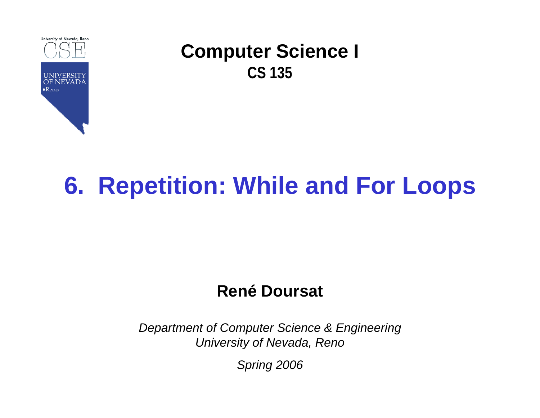

# **6. Repetition: While and For Loops**

#### **René Doursat**

*Department of Computer Science & Engineering University of Nevada, Reno*

*Spring 2006*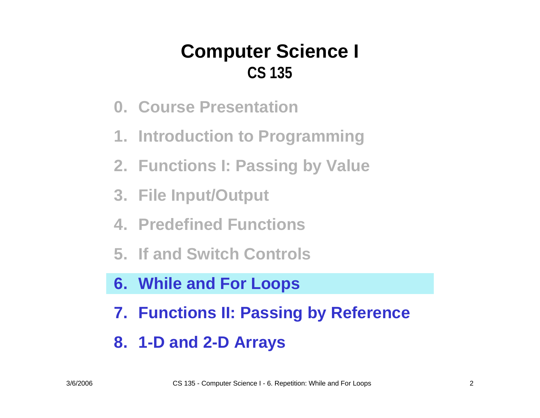- **0. Course Presentation**
- **1. Introduction to Programming**
- **2. Functions I: Passing by Value**
- **3. File Input/Output**
- **4. Predefined Functions**
- **5. If and Switch Controls**
- **6. While and For Loops**
- **7. Functions II: Passing by Reference**
- **8. 1-D and 2-D Arrays**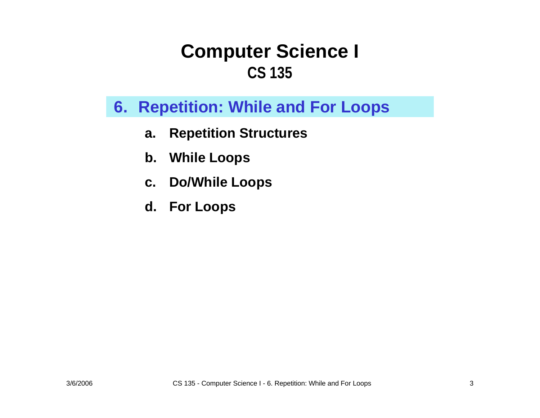#### **6. Repetition: While and For Loops**

- **a.Repetition Structures**
- **b.While Loops**
- **c. Do/While Loops**
- **d. For Loops**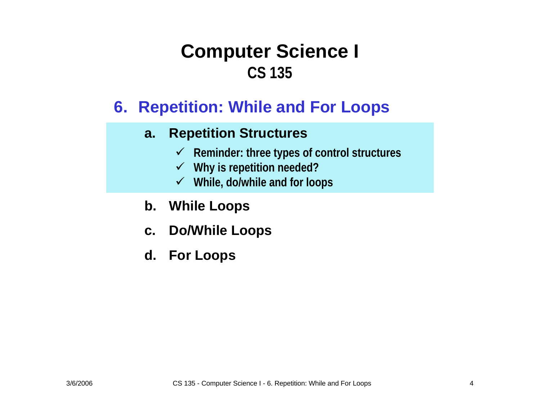#### **6. Repetition: While and For Loops**

#### **a.Repetition Structures**

- 9 **Reminder: three types of control structures**
- 9 **Why is repetition needed?**
- 9 **While, do/while and for loops**
- **b. While Loops**
- **c. Do/While Loops**
- **d. For Loops**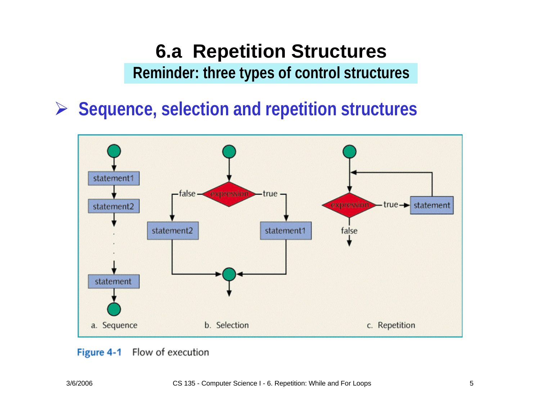#### **6.a Repetition Structures Reminder: three types of control structures**

¾ **Sequence, selection and repetition structures**



#### Flow of execution Figure 4-1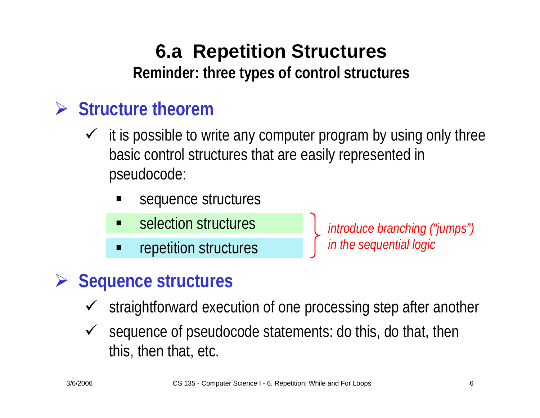**Reminder: three types of control structures**

## ¾ **Structure theorem**

- $\checkmark$  it is possible to write any computer program by using only three basic control structures that are easily represented in pseudocode:
	- sequence structures
	- $\blacksquare$ selection structures
	- repetition structures

*introduce branching ("jumps") in the sequential logic*

#### ¾**Sequence structures**

- $\checkmark$ straightforward execution of one processing step after another
- $\sqrt{ }$  sequence of pseudocode statements: do this, do that, then this, then that, etc.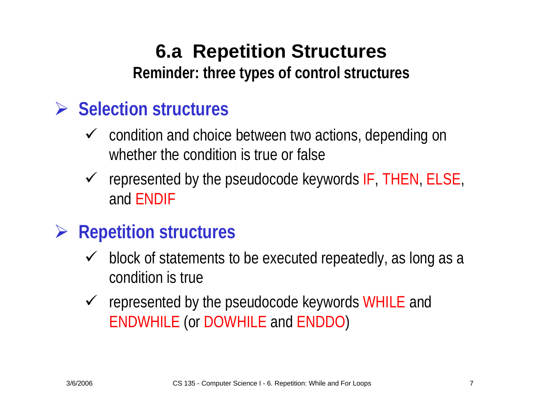## **6.a Repetition Structures Reminder: three types of control structures**

### ¾ **Selection structures**

- $\checkmark$  condition and choice between two actions, depending on whether the condition is true or false
- $\checkmark$  represented by the pseudocode keywords IF, THEN, ELSE, and ENDIF
- ¾ **Repetition structures**
	- $\checkmark$  block of statements to be executed repeatedly, as long as a condition is true
	- $\checkmark$  represented by the pseudocode keywords WHILE and ENDWHILE (or DOWHILE and ENDDO)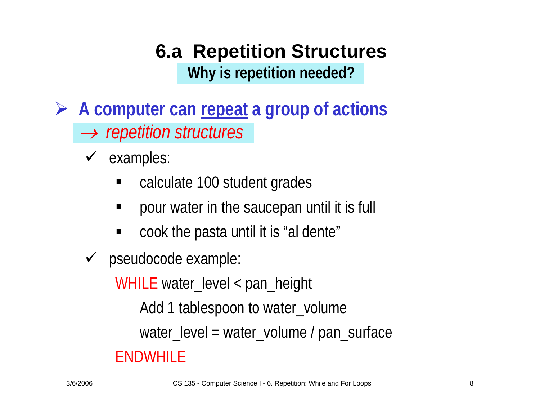## **6.a Repetition Structures Why is repetition needed?**

- ¾ **A computer can repeat a group of actions** → *repetition structures*
	- $\checkmark$  examples:
		- $\blacksquare$ calculate 100 student grades
		- pour water in the saucepan until it is full
		- $\blacksquare$ cook the pasta until it is "al dente"
	- $\checkmark$  pseudocode example:

WHILE water\_level < pan\_height

Add 1 tablespoon to water\_volume

water\_level = water\_volume / pan\_surface

#### ENDWHILE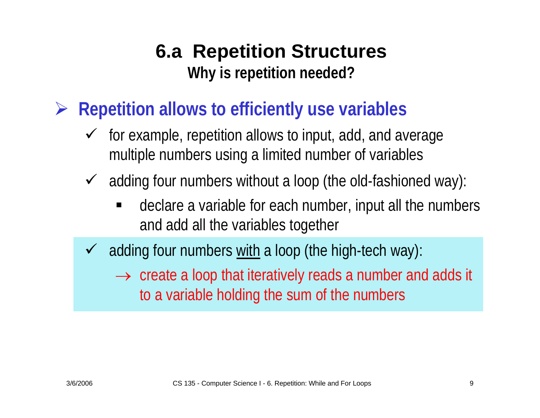## **6.a Repetition Structures Why is repetition needed?**

- ¾ **Repetition allows to efficiently use variables**
	- $\checkmark$  for example, repetition allows to input, add, and average multiple numbers using a limited number of variables
	- $\sqrt{ }$  adding four numbers without a loop (the old-fashioned way):
		- $\blacksquare$  declare a variable for each number, input all the numbers and add all the variables together
	- $\checkmark$  adding four numbers with a loop (the high-tech way):
		- $\rightarrow$  create a loop that iteratively reads a number and adds it to a variable holding the sum of the numbers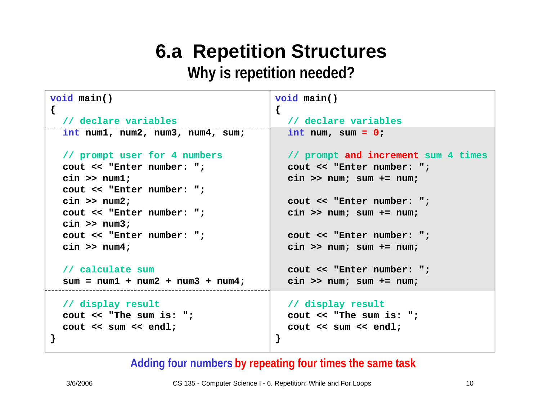#### **Why is repetition needed?**

```
void main()
{
  // declare variables
  int num1, num2, num3,
num4, sum;
  // prompt user for 4 numbers
  cout << "Enter number: ";
  cin >> num1;
 cout << "Enter number: ";
 cin >> num2;
  cout << "Enter number: ";
 cin >> num3;
 cout << "Enter number: ";
  cin >> num4;
  // calculate sum
  sum = num1 + num2 + num3 + num4;
 // display result
  cout << "The sum is: ";
  cout << sum << endl;
}
                                         void main()
                                         {
                                           // declare variables
                                           int num, sum = 0;
                                           // prompt and increment sum 4 times
                                           cout << "Enter number: ";
                                           cin >> num; sum += num;
                                           cout << "Enter number: ";
                                           cin >> num; sum += num;
                                           cout << "Enter number: ";
                                           cin >> num; sum += num;
                                           cout << "Enter number: ";
                                           cin >> num; sum += num;
                                           // display result
                                           cout << "The sum is: ";
                                           cout << sum << endl;
                                         }
```
#### Adding four numbers by repeating four times the same task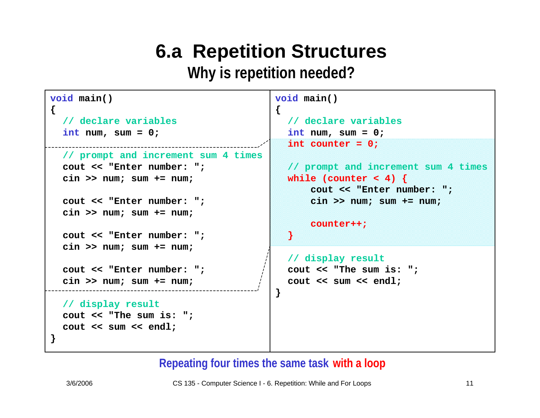**Why is repetition needed?**

```
void main()
{
  // declare variables
  int num, sum = 0;
  // prompt and increment sum 4 times
  cout << "Enter number: ";
  cin >> num; sum += num;
  cout << "Enter number: ";
  cin >> num; sum += num;
 cout << "Enter number: ";
  cin >> num; sum += num;
 cout << "Enter number: ";
  cin >> num; sum += num;
  // display result
  cout << "The sum is: ";
  cout << sum << endl;
}
                                         {
                                           }
                                         }
```

```
void main()
```

```
// declare variables
int num, sum = 0;
int counter = 0;
```

```
// prompt and increment sum 4 times
while (counter < 4) { 
    cout << "Enter number: ";
    cin >> num; sum += num;
```

```
counter++;
```

```
// display result
cout << "The sum is: ";
cout << sum << endl;
```
#### **Repeating four times the same task with a loop**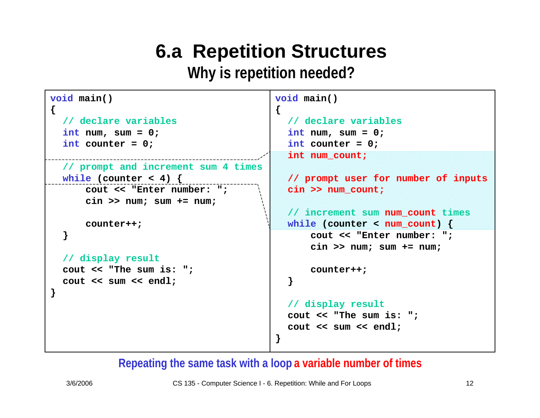**Why is repetition needed?**

```
void main()
{
  // declare variables
  int num, sum = 0;
  int counter = 0;
  // prompt and increment sum 4 times
  while (counter < 4) { 
      cout << "Enter number: ";
      cin >> num; sum += num;
      counter++;
  }
  // display result
 cout << "The sum is: ";
  cout << sum << endl;
}
                                         void main()
                                         {
                                           // declare variables
                                           int num, sum = 0;
                                            int counter = 0;
                                           int num_count;
                                           // prompt user for number of inputs
                                           cin >> num_count;
                                           // increment sum num_count times
                                           while (counter < num_count) { 
                                               cout << "Enter number: ";
                                               cin >> num; sum += num;
                                               counter++;
                                           }
                                           // display result
                                           cout << "The sum is: ";
                                           cout << sum << endl;
                                         }
```
**Repeating the same task with a loop a variable number of times**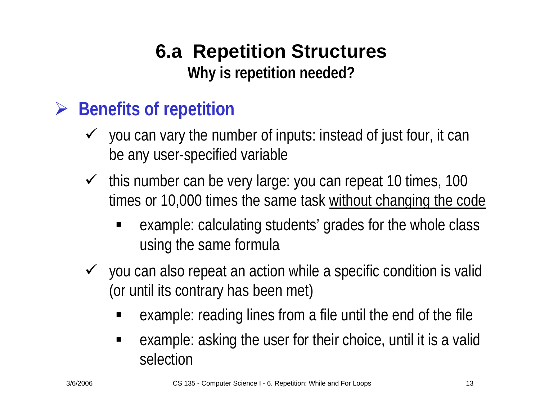## **6.a Repetition Structures Why is repetition needed?**

## ¾ **Benefits of repetition**

- $\checkmark$  you can vary the number of inputs: instead of just four, it can be any user-specified variable
- $\checkmark$  this number can be very large: you can repeat 10 times, 100 times or 10,000 times the same task without changing the code
	- ٠ example: calculating students' grades for the whole class using the same formula
- $\checkmark$  you can also repeat an action while a specific condition is valid (or until its contrary has been met)
	- ٠ example: reading lines from a file until the end of the file
	- $\blacksquare$  example: asking the user for their choice, until it is a valid selection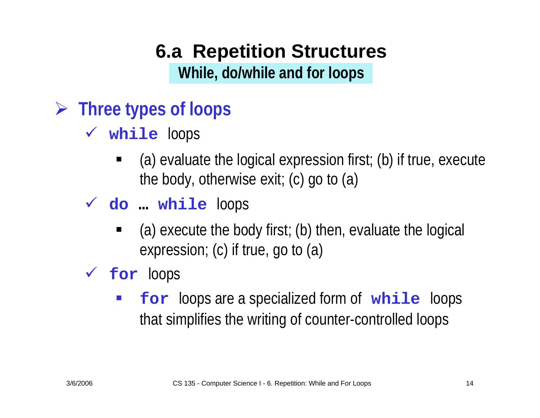**While, do/w hile and for loops**

- ¾ **Three types of loops**
	- 9 **while** loops
		- (a) evaluate the logical expression first; (b) if true, execute the body, otherwise exit; (c) go to (a)
	- 9 **do … while** loops
		- (a) execute the body first; (b) then, evaluate the logical expression; (c) if true, go to (a)

#### 9 **for** loops

**Service Service for** loops are a specialized form of **while** loops that simplifies the writing of counter-controlled loops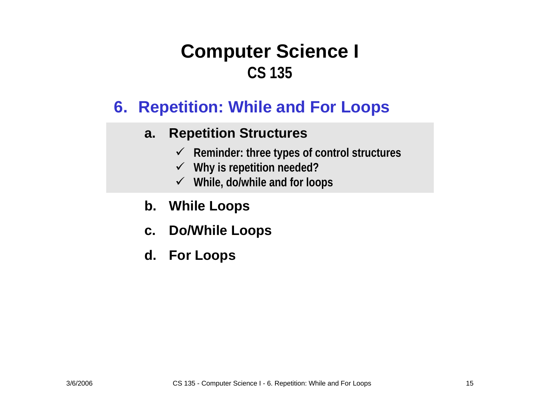#### **6. Repetition: While and For Loops**

#### **a.Repetition Structures**

- 9 **Reminder: three types of control structures**
- 9 **Why is repetition needed?**
- 9 **While, do/while and for loops**
- **b.While Loops**
- **c. Do/While Loops**
- **d. For Loops**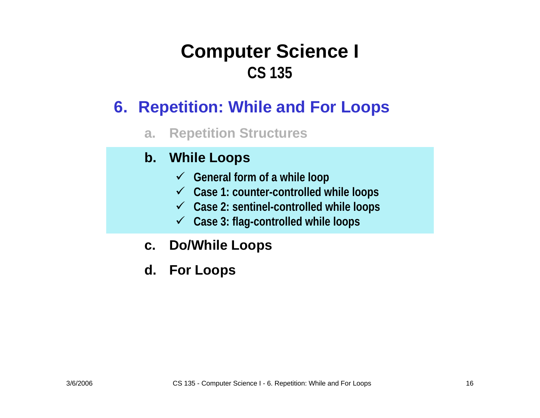#### **6. Repetition: While and For Loops**

**a.Repetition Structures**

#### **b. While Loops**

- 9 **General form of a while loop**
- 9 **Case 1: counter-controlled while loops**
- 9 **Case 2: sentinel-controlled while loops**
- 9 **Case 3: flag-controlled while loops**
- **c. Do/While Loops**
- **d. For Loops**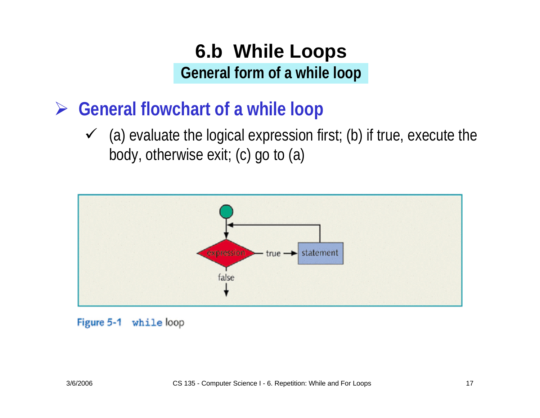### **6.b While Loops General form of a while loop**

¾ **General flowchart of a while loop**

 $\checkmark$  (a) evaluate the logical expression first; (b) if true, execute the body, otherwise exit; (c) go to (a)



Figure 5-1 while loop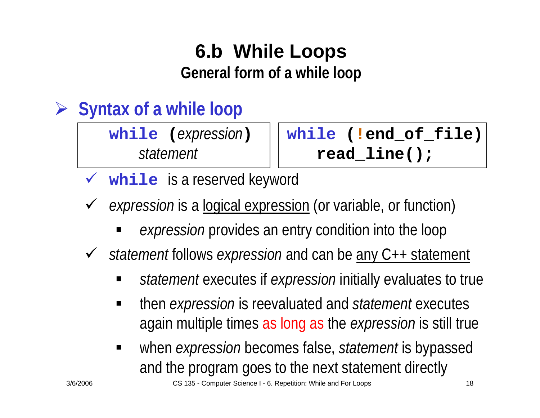# **6.b While Loops**

**General form of a while loop**

#### ¾**Syntax of a while loop**

**while (***expression*

**) while ( !end\_of\_file)** *statement* **read\_line();**

 $\sqrt{ }$ while is a reserved keyword

- $\checkmark$  *expression* is a logical expression (or variable, or function)
	- *expression* provides an entry condition into the loop

 $\checkmark$ *statement* follows *expression* and can be any C++ statement

- *statement* executes if *expression* initially evaluates to true
- $\blacksquare$  then *expression* is reevaluated and *statement* executes again multiple times as long as the *expression* is still true
- $\blacksquare$  when *expression* becomes false, *statement* is bypassed and the program goes to the next statement directly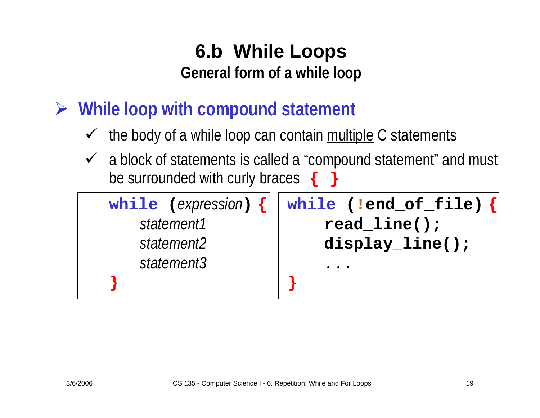## **6.b While Loops General form of a while loop**

¾ **While loop with compound statement**

- $\checkmark$ the body of a while loop can contain multiple C statements
- $\checkmark$  a block of statements is called a "compound statement" and must be surrounded with curly braces **{ }**

**while (***expression* **) { while ( !end\_of\_file) {** *statement1* **read\_line();** *statement2* **display\_line();** *statement3 ...***} }**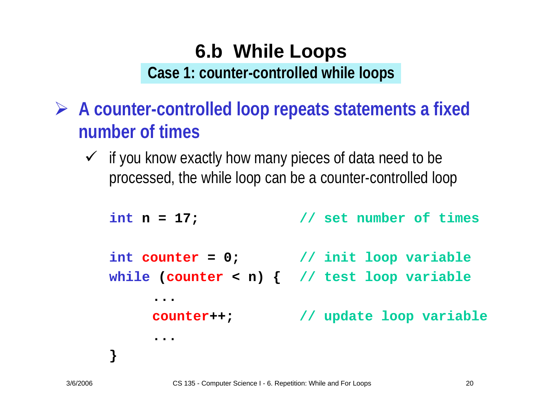## **6.b While Loops Case 1: counter-controlled while loops**

- ¾ **A counter-controlled loop repeats statements a fixed number of times**
	- $\checkmark$  if you know exactly how many pieces of data need to be processed, the while loop can be a counter-controlled loop

```
int n = 17; n = 17; // set number of times
int counter = 0; // init loop variable
while
(counter < n) { // test loop variable
     ...counter++; // update loop variable
     ...}
```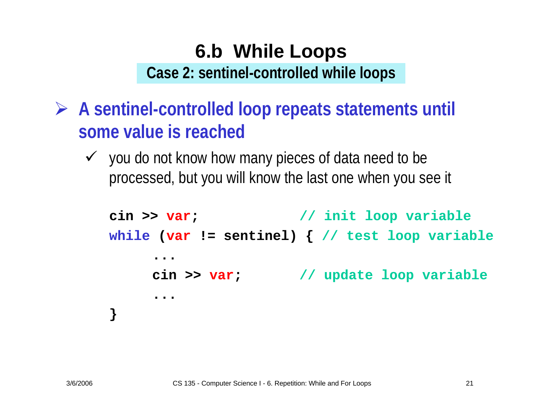## **6.b While Loops Case 2: sentinel-controlled while loops**

- ¾ **A sentinel-controlled loop repeats statements until some value is reached**
	- $\checkmark$  you do not know how many pieces of data need to be processed, but you will know the last one when you see it

```
cin >> var; // init loop variable
while
(var != sentinel) { // test loop variable
      ...cin >> var
                        ; // update loop variable
     ...}
```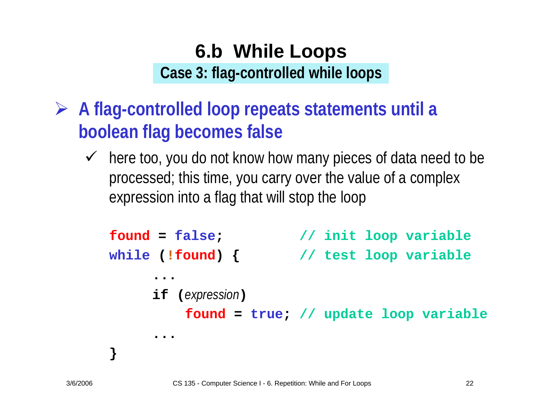## **6.b While Loops Case 3: flag-controlled while loops**

- ¾ **A flag-controlled loop repeats statements until a boolean flag becomes false**
	- $\checkmark$  here too, you do not know how many pieces of data need to be processed; this time, you carry over the value of a complex expression into a flag that will stop the loop

```
found = false
                        ; // init loop variable
while
(!found) { // test loop variable
     ...if (expression
)
          found = true
; // update loop variable
     ...
}
```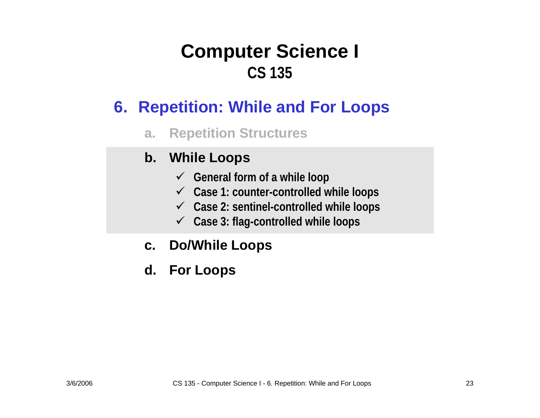#### **6. Repetition: While and For Loops**

**a.Repetition Structures**

#### **b. While Loops**

- 9 **General form of a while loop**
- 9 **Case 1: counter-controlled while loops**
- 9 **Case 2: sentinel-controlled while loops**
- 9 **Case 3: flag-controlled while loops**
- **c. Do/While Loops**
- **d. For Loops**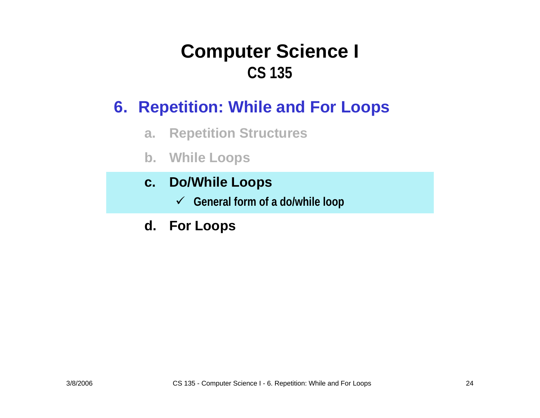#### **6. Repetition: While and For Loops**

- **a.Repetition Structures**
- **b. While Loops**
- **c. Do/While Loops**
	- 9 **General form of a do/while loop**
- **d. For Loops**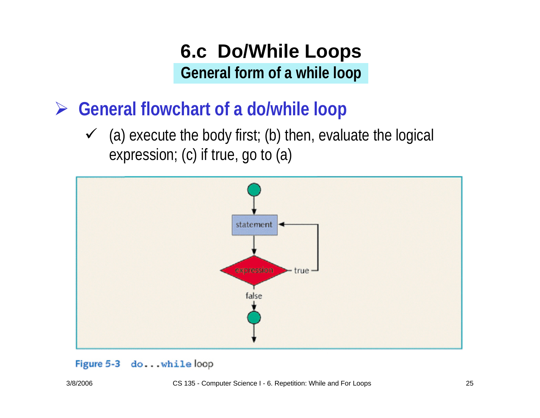## **6.c Do/While Loops General form of a while loop**

¾ **General flowchart of a do/while loop**

 $\checkmark$  (a) execute the body first; (b) then, evaluate the logical expression; (c) if true, go to (a)



#### Figure 5-3 do...while loop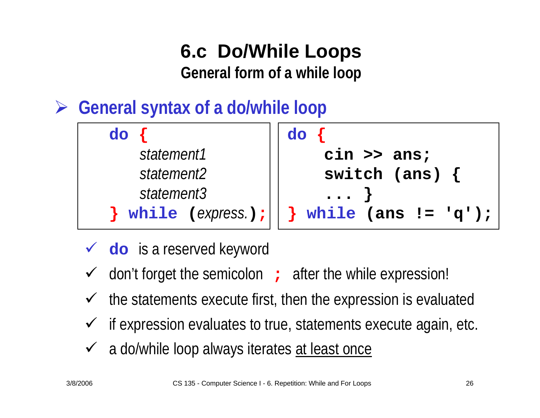### **6.c Do/While Loops General form of a while loop**

¾**General syntax of a do/while loop**

| do                     |                                                     |
|------------------------|-----------------------------------------------------|
| statement1             | $\sin \gg \text{ans};$                              |
| statement <sub>2</sub> | switch (ans) $\{$                                   |
| statement3             | $\cdots$                                            |
|                        | } while $(express.)$ ; $  $ } while $ans := 'q')$ ; |

- ◆ **do** is a reserved keyword
- $\checkmark$ don't forget the semicolon **;** after the while expression!
- $\checkmark$ the statements execute first, then the expression is evaluated
- $\checkmark$ if expression evaluates to true, statements execute again, etc.
- ✓ a do/while loop always iterates at least once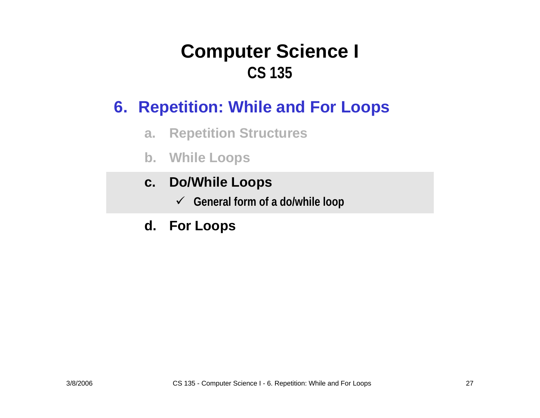#### **6. Repetition: While and For Loops**

- **a.Repetition Structures**
- **b. While Loops**
- **c. Do/While Loops**
	- 9 **General form of a do/while loop**
- **d. For Loops**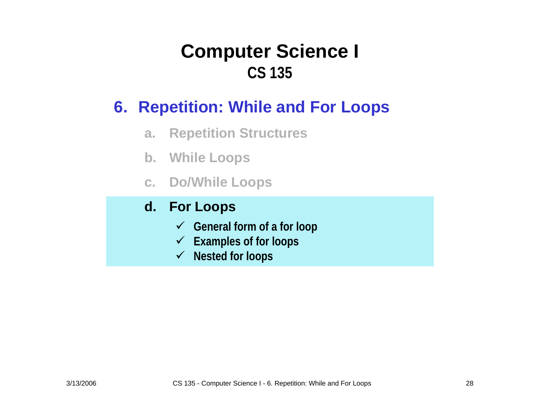#### **6. Repetition: While and For Loops**

- **a.Repetition Structures**
- **b. While Loops**
- **c. Do/While Loops**

#### **d. For Loops**

- 9 **General form of a for loop**
- 9 **Examples of for loops**
- 9 **Nested for loops**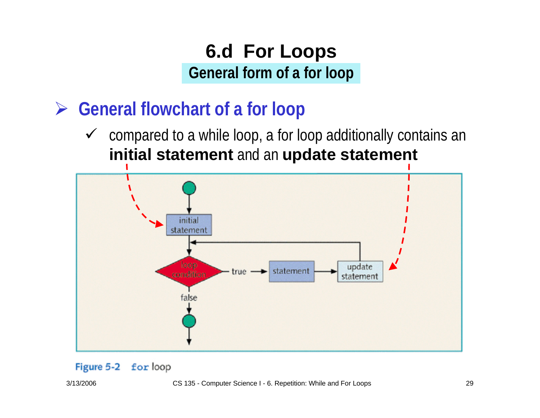- ¾ **General flowchart of a for loop**
	- $\checkmark$  compared to a while loop, a for loop additionally contains an **initial statement** and an **update statement**

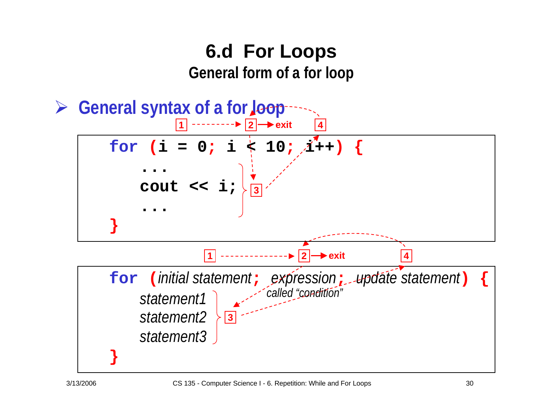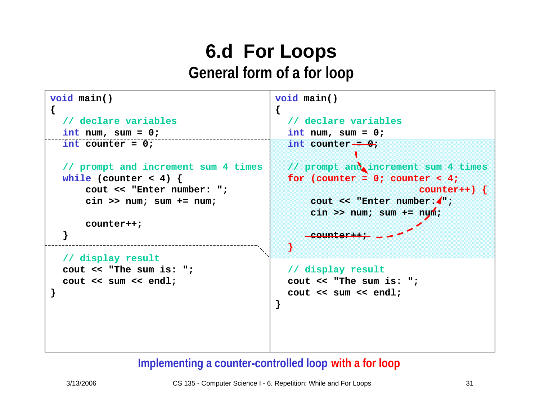```
void main()
{
  // declare variables
  int num, sum = 0;
  int counter = 0;
  // prompt and increment sum 4 times
  while (counter < 4) { 
      cout << "Enter number: ";
      cin >> num; sum += num;
      counter++;
  }
  // display result
  cout << "The sum is: ";
  cout << sum << endl;
}
                                          void main()
                                          {
                                            // declare variables
                                            int num, sum = 0;
                                            int counter = 0;
                                            // prompt and increment sum 4 times
                                            for (counter = 0; counter < 4;
                                                                    counter++) { 
                                                cout << "Enter number: \bullet" ;
                                                cin >> num; sum += num;
                                                counter++;
                                            }
                                            // display result
                                            cout << "The sum is: ";
                                            cout << sum << endl;
                                          }
```
#### **Implementing a counter-controlled loop with a for loop**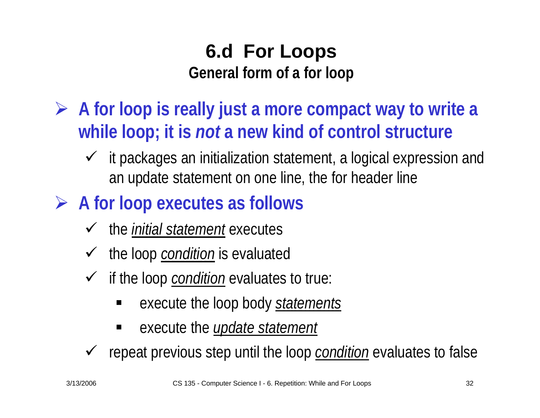- ¾ **A for loop is really just a more compact way to write a while loop; it is** *not* **a new kind of control structure**
	- $\checkmark$  it packages an initialization statement, a logical expression and an update statement on one line, the for header line
- ¾ **A for loop executes as follows**
	- $\checkmark$ the *initial statement* executes
	- $\checkmark$ the loop *condition* is evaluated
	- $\checkmark$  if the loop *condition* evaluates to true:
		- execute the loop body *statements*
		- $\blacksquare$ execute the *update statement*
	- $\checkmark$ repeat previous step until the loop *condition* evaluates to false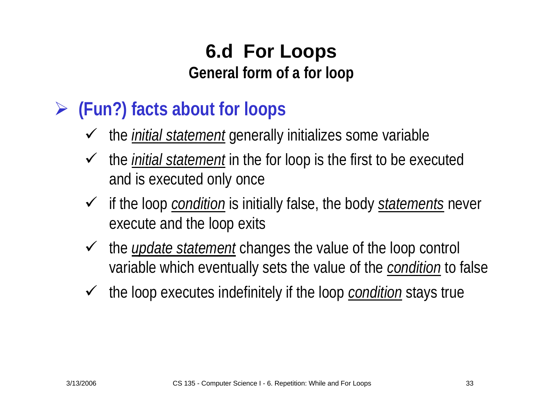#### ¾**(Fun?) facts about for loops**

- $\checkmark$ the *initial statement* generally initializes some variable
- $\checkmark$  the *initial statement* in the for loop is the first to be executed and is executed only once
- 9 if the loop *condition* is initially false, the body *statements* never execute and the loop exits
- $\checkmark$  the *update statement* changes the value of the loop control variable which eventually sets the value of the *condition* to false
- $\sqrt{ }$ the loop executes indefinitely if the loop *condition* stays true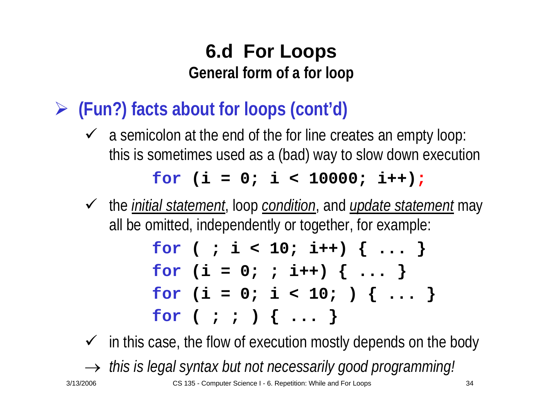¾ **(Fun?) facts about for loops (cont'd)**

 $\checkmark$  a semicolon at the end of the for line creates an empty loop: this is sometimes used as a (bad) way to slow down execution

**for (i = 0; i < 10000; i++) ;**

9 the *initial statement*, loop *condition*, and *update statement* may all be omitted, independently or together, for example:

$$
\begin{array}{l}\n\text{for } ( ; i < 10; i++) { ... } \\
\text{for } (i = 0; ; i++) { ... } \\
\text{for } (i = 0; i < 10; ) { ... } \\
\text{for } ( ; ; ) { ... }\n\end{array}
$$

 $\checkmark$  in this case, the flow of execution mostly depends on the body

 $\;\rightarrow$  this is legal syntax but not necessarily good programming.

3/13/2006 CS 135 - Computer Science I - 6. Repetition: While and For Loops 34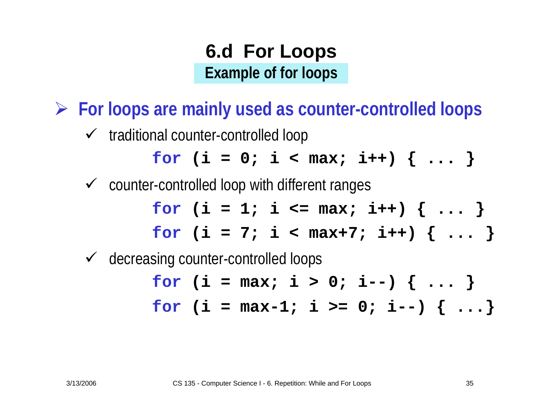## **6.d For Loops Example of for loops**

¾ **For loops are mainly used as counter-controlled loops**

 $\checkmark$  traditional counter-controlled loop

$$
for (i = 0; i < max; i++) { ... }
$$

 $\checkmark$  counter-controlled loop with different ranges

$$
\begin{array}{l}\nfor (i = 1; i <= max; i++) {\dots} \\
for (i = 7; i < max+7; i++) {\dots} \\
\end{array}
$$

 $\sqrt{ }$ decreasing counter-controlled loops

$$
for (i = max; i > 0; i--) { ... }
$$
  
for (i = max-1; i >= 0; i--) { ... }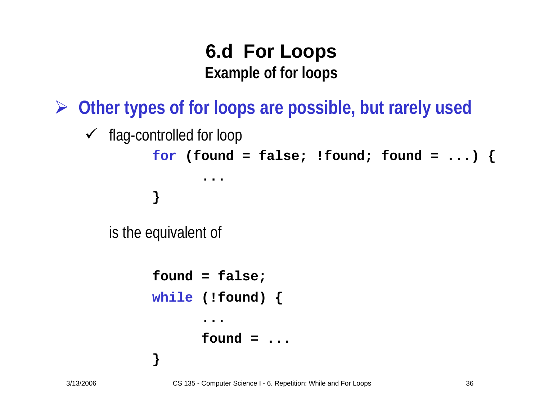### **6.d For Loops Example of for loops**

¾ **Other types of for loops are possible, but rarely used**

```
\checkmark flag-controlled for loop
          for (found = false; !found; found = ...) {
                  ...}
   is the equivalent of
          found = false;
          while (!found) {
                  ...found = ...}
```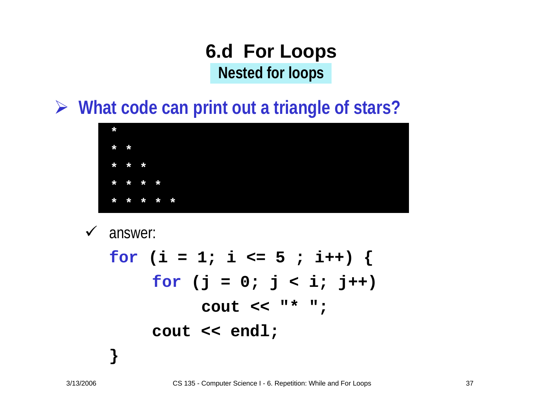#### **6.d For Loops Nested for loops**

¾ **What code can print out a triangle of stars?**



 $\checkmark$ answer:

**}**

$$
for (i = 1; i <= 5; i++) {\n for (j = 0; j < i; j++)\n cout << " * ";\n cout << end];\n }\n}
$$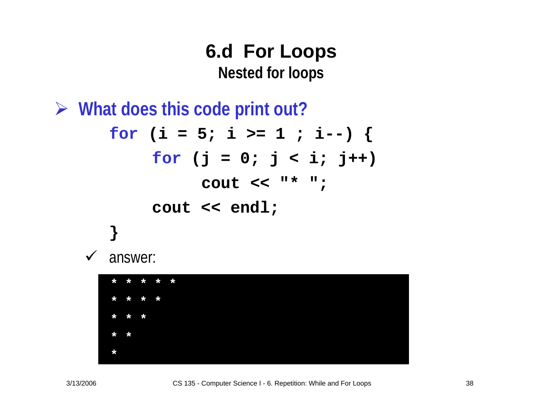#### **6.d For Loops Nested for loops**

¾ **What does this code print out?**

**for (i = 5; i >= 1 ; i--) { for (j = 0; j < i; j++) cout << "\* "; cout << endl; }** answer:



 $\checkmark$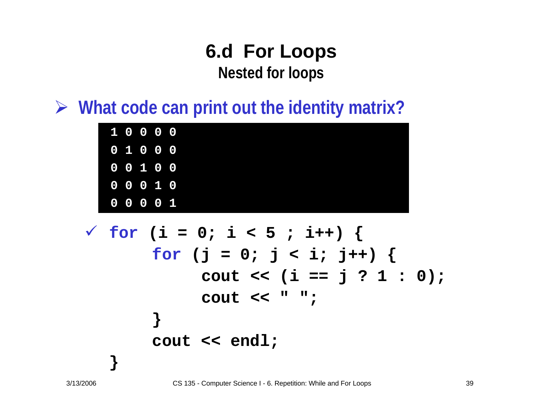#### **6.d For Loops Nested for loops**

¾ **What code can print out the identity matrix?**

| $10000$   |  |           |  |
|-----------|--|-----------|--|
| 0 1 0 0 0 |  |           |  |
|           |  | 0 0 1 0 0 |  |
|           |  | 0 0 0 1 0 |  |
|           |  | 0 0 0 0 1 |  |

9 **for (i = 0; i < 5 ; i++) { for (j = 0; j < i; j++) { cout << (i == j ? 1 : 0); cout << " "; } cout << endl;**

**}**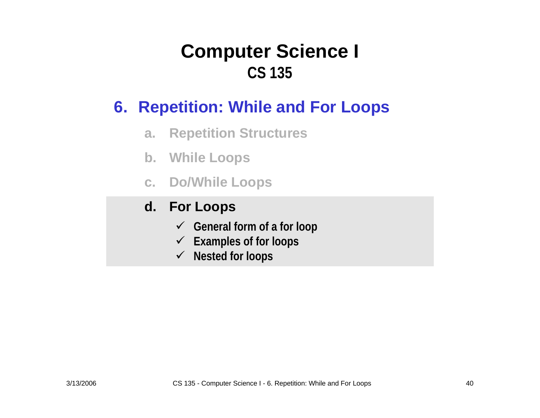#### **6. Repetition: While and For Loops**

- **a.Repetition Structures**
- **b. While Loops**
- **c. Do/While Loops**

#### **d. For Loops**

- 9 **General form of a for loop**
- $\checkmark$ **Examples of for loops**
- 9 **Nested for loops**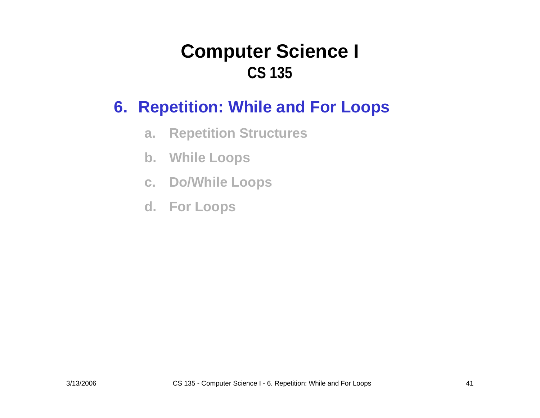#### **6. Repetition: While and For Loops**

- **a.Repetition Structures**
- **b. While Loops**
- **c. Do/While Loops**
- **d. For Loops**